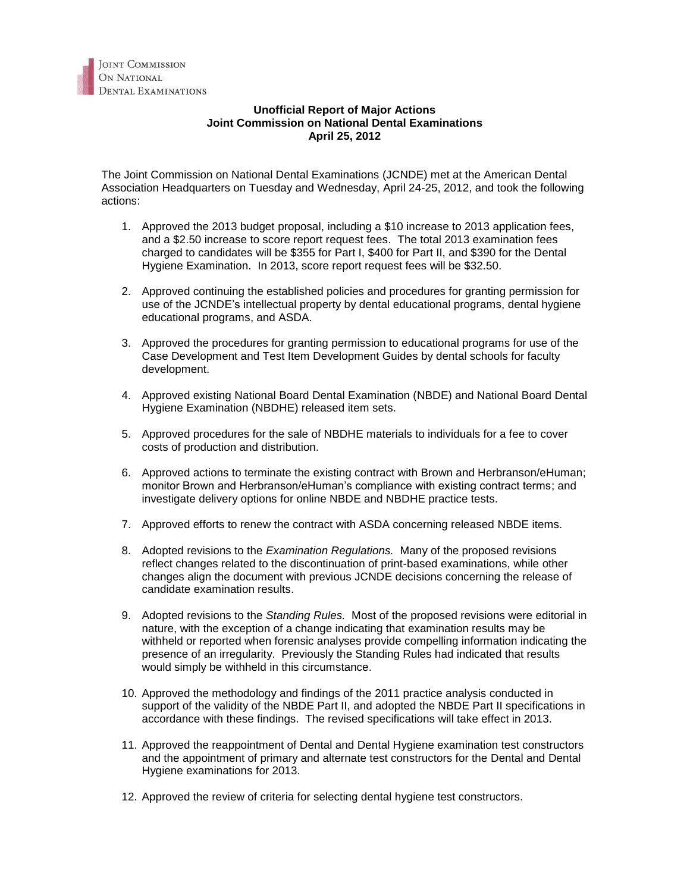## **Unofficial Report of Major Actions Joint Commission on National Dental Examinations April 25, 2012**

The Joint Commission on National Dental Examinations (JCNDE) met at the American Dental Association Headquarters on Tuesday and Wednesday, April 24-25, 2012, and took the following actions:

- 1. Approved the 2013 budget proposal, including a \$10 increase to 2013 application fees, and a \$2.50 increase to score report request fees. The total 2013 examination fees charged to candidates will be \$355 for Part I, \$400 for Part II, and \$390 for the Dental Hygiene Examination. In 2013, score report request fees will be \$32.50.
- 2. Approved continuing the established policies and procedures for granting permission for use of the JCNDE's intellectual property by dental educational programs, dental hygiene educational programs, and ASDA.
- 3. Approved the procedures for granting permission to educational programs for use of the Case Development and Test Item Development Guides by dental schools for faculty development.
- 4. Approved existing National Board Dental Examination (NBDE) and National Board Dental Hygiene Examination (NBDHE) released item sets.
- 5. Approved procedures for the sale of NBDHE materials to individuals for a fee to cover costs of production and distribution.
- 6. Approved actions to terminate the existing contract with Brown and Herbranson/eHuman; monitor Brown and Herbranson/eHuman's compliance with existing contract terms; and investigate delivery options for online NBDE and NBDHE practice tests.
- 7. Approved efforts to renew the contract with ASDA concerning released NBDE items.
- 8. Adopted revisions to the *Examination Regulations.* Many of the proposed revisions reflect changes related to the discontinuation of print-based examinations, while other changes align the document with previous JCNDE decisions concerning the release of candidate examination results.
- 9. Adopted revisions to the *Standing Rules.* Most of the proposed revisions were editorial in nature, with the exception of a change indicating that examination results may be withheld or reported when forensic analyses provide compelling information indicating the presence of an irregularity. Previously the Standing Rules had indicated that results would simply be withheld in this circumstance.
- 10. Approved the methodology and findings of the 2011 practice analysis conducted in support of the validity of the NBDE Part II, and adopted the NBDE Part II specifications in accordance with these findings. The revised specifications will take effect in 2013.
- 11. Approved the reappointment of Dental and Dental Hygiene examination test constructors and the appointment of primary and alternate test constructors for the Dental and Dental Hygiene examinations for 2013.
- 12. Approved the review of criteria for selecting dental hygiene test constructors.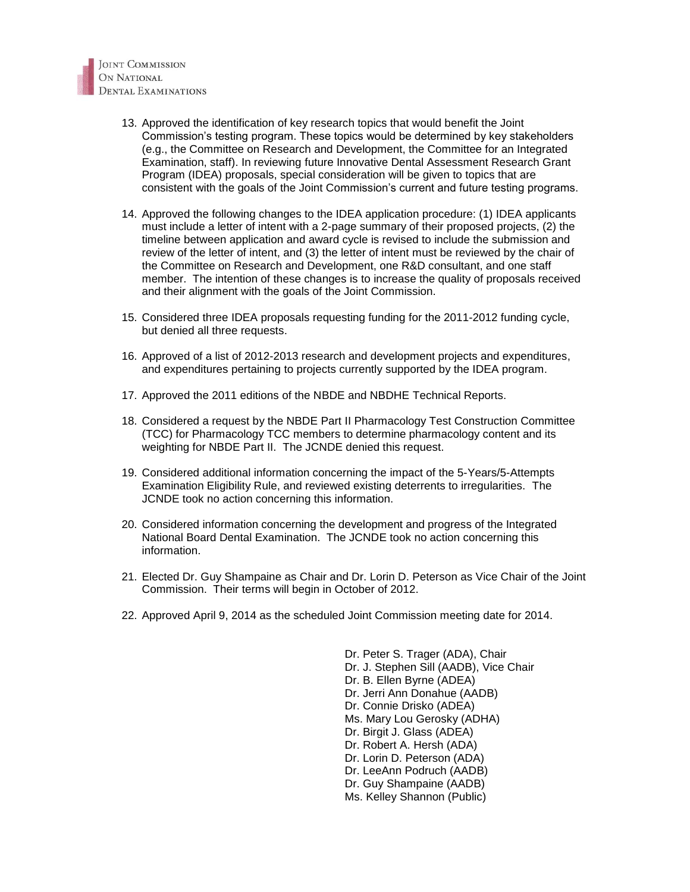- 13. Approved the identification of key research topics that would benefit the Joint Commission's testing program. These topics would be determined by key stakeholders (e.g., the Committee on Research and Development, the Committee for an Integrated Examination, staff). In reviewing future Innovative Dental Assessment Research Grant Program (IDEA) proposals, special consideration will be given to topics that are consistent with the goals of the Joint Commission's current and future testing programs.
- 14. Approved the following changes to the IDEA application procedure: (1) IDEA applicants must include a letter of intent with a 2-page summary of their proposed projects, (2) the timeline between application and award cycle is revised to include the submission and review of the letter of intent, and (3) the letter of intent must be reviewed by the chair of the Committee on Research and Development, one R&D consultant, and one staff member. The intention of these changes is to increase the quality of proposals received and their alignment with the goals of the Joint Commission.
- 15. Considered three IDEA proposals requesting funding for the 2011-2012 funding cycle, but denied all three requests.
- 16. Approved of a list of 2012-2013 research and development projects and expenditures, and expenditures pertaining to projects currently supported by the IDEA program.
- 17. Approved the 2011 editions of the NBDE and NBDHE Technical Reports.
- 18. Considered a request by the NBDE Part II Pharmacology Test Construction Committee (TCC) for Pharmacology TCC members to determine pharmacology content and its weighting for NBDE Part II. The JCNDE denied this request.
- 19. Considered additional information concerning the impact of the 5-Years/5-Attempts Examination Eligibility Rule, and reviewed existing deterrents to irregularities. The JCNDE took no action concerning this information.
- 20. Considered information concerning the development and progress of the Integrated National Board Dental Examination. The JCNDE took no action concerning this information.
- 21. Elected Dr. Guy Shampaine as Chair and Dr. Lorin D. Peterson as Vice Chair of the Joint Commission. Their terms will begin in October of 2012.
- 22. Approved April 9, 2014 as the scheduled Joint Commission meeting date for 2014.

Dr. Peter S. Trager (ADA), Chair Dr. J. Stephen Sill (AADB), Vice Chair Dr. B. Ellen Byrne (ADEA) Dr. Jerri Ann Donahue (AADB) Dr. Connie Drisko (ADEA) Ms. Mary Lou Gerosky (ADHA) Dr. Birgit J. Glass (ADEA) Dr. Robert A. Hersh (ADA) Dr. Lorin D. Peterson (ADA) Dr. LeeAnn Podruch (AADB) Dr. Guy Shampaine (AADB) Ms. Kelley Shannon (Public)